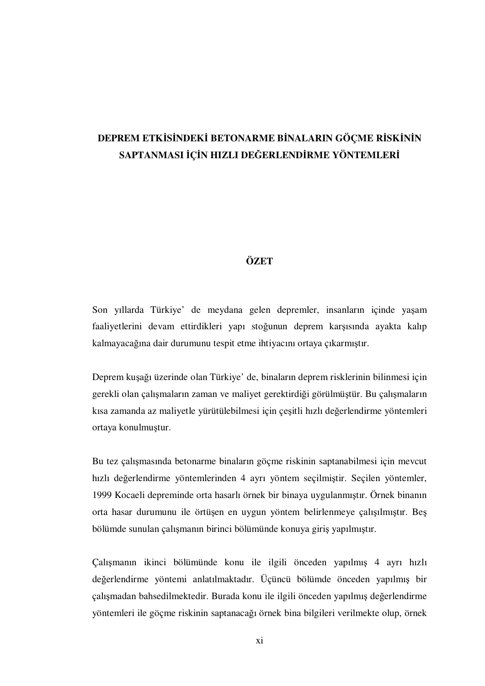## **DEPREM ETK**İ**S**İ**NDEK**İ **BETONARME B**İ**NALARIN GÖÇME R**İ**SK**İ**N**İ**N SAPTANMASI** İ**Ç**İ**N HIZLI DE**Ğ**ERLEND**İ**RME YÖNTEMLER**İ

## **ÖZET**

Son yıllarda Türkiye' de meydana gelen depremler, insanların içinde yaşam faaliyetlerini devam ettirdikleri yapı stoğunun deprem karşısında ayakta kalıp kalmayacağına dair durumunu tespit etme ihtiyacını ortaya çıkarmıştır.

Deprem kuşağı üzerinde olan Türkiye' de, binaların deprem risklerinin bilinmesi için gerekli olan çalışmaların zaman ve maliyet gerektirdiği görülmüştür. Bu çalışmaların kısa zamanda az maliyetle yürütülebilmesi için çeşitli hızlı değerlendirme yöntemleri ortaya konulmuştur.

Bu tez çalışmasında betonarme binaların göçme riskinin saptanabilmesi için mevcut hızlı değerlendirme yöntemlerinden 4 ayrı yöntem seçilmiştir. Seçilen yöntemler, 1999 Kocaeli depreminde orta hasarlı örnek bir binaya uygulanmıştır. Örnek binanın orta hasar durumunu ile örtüşen en uygun yöntem belirlenmeye çalışılmıştır. Beş bölümde sunulan çalışmanın birinci bölümünde konuya giriş yapılmıştır.

Çalışmanın ikinci bölümünde konu ile ilgili önceden yapılmış 4 ayrı hızlı değerlendirme yöntemi anlatılmaktadır. Üçüncü bölümde önceden yapılmış bir çalışmadan bahsedilmektedir. Burada konu ile ilgili önceden yapılmış değerlendirme yöntemleri ile göçme riskinin saptanacağı örnek bina bilgileri verilmekte olup, örnek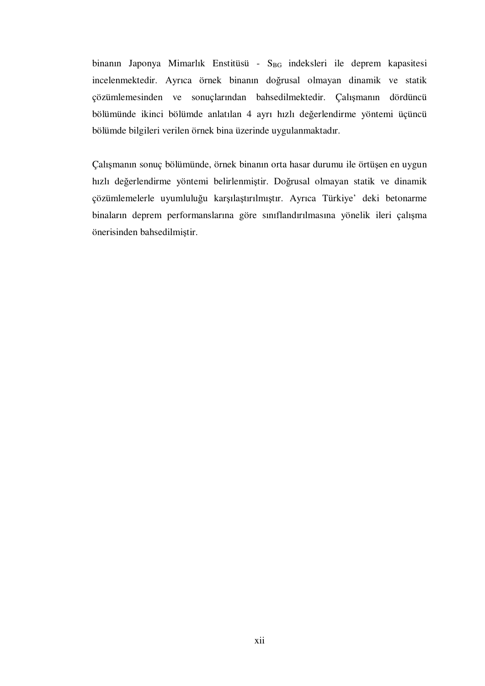binanın Japonya Mimarlık Enstitüsü - S<sub>BG</sub> indeksleri ile deprem kapasitesi incelenmektedir. Ayrıca örnek binanın doğrusal olmayan dinamik ve statik çözümlemesinden ve sonuçlarından bahsedilmektedir. Çalışmanın dördüncü bölümünde ikinci bölümde anlatılan 4 ayrı hızlı değerlendirme yöntemi üçüncü bölümde bilgileri verilen örnek bina üzerinde uygulanmaktadır.

Çalışmanın sonuç bölümünde, örnek binanın orta hasar durumu ile örtüşen en uygun hızlı değerlendirme yöntemi belirlenmiştir. Doğrusal olmayan statik ve dinamik çözümlemelerle uyumluluğu karşılaştırılmıştır. Ayrıca Türkiye' deki betonarme binaların deprem performanslarına göre sınıflandırılmasına yönelik ileri çalışma önerisinden bahsedilmiştir.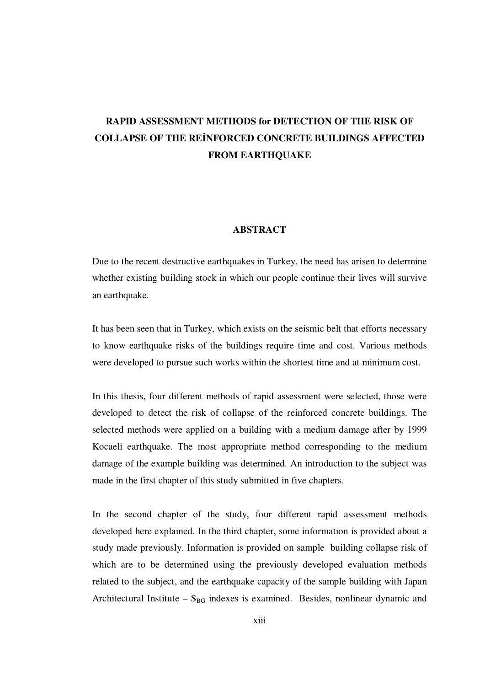## **RAPID ASSESSMENT METHODS for DETECTION OF THE RISK OF COLLAPSE OF THE RE**İ**NFORCED CONCRETE BUILDINGS AFFECTED FROM EARTHQUAKE**

## **ABSTRACT**

Due to the recent destructive earthquakes in Turkey, the need has arisen to determine whether existing building stock in which our people continue their lives will survive an earthquake.

It has been seen that in Turkey, which exists on the seismic belt that efforts necessary to know earthquake risks of the buildings require time and cost. Various methods were developed to pursue such works within the shortest time and at minimum cost.

In this thesis, four different methods of rapid assessment were selected, those were developed to detect the risk of collapse of the reinforced concrete buildings. The selected methods were applied on a building with a medium damage after by 1999 Kocaeli earthquake. The most appropriate method corresponding to the medium damage of the example building was determined. An introduction to the subject was made in the first chapter of this study submitted in five chapters.

In the second chapter of the study, four different rapid assessment methods developed here explained. In the third chapter, some information is provided about a study made previously. Information is provided on sample building collapse risk of which are to be determined using the previously developed evaluation methods related to the subject, and the earthquake capacity of the sample building with Japan Architectural Institute –  $S_{BG}$  indexes is examined. Besides, nonlinear dynamic and